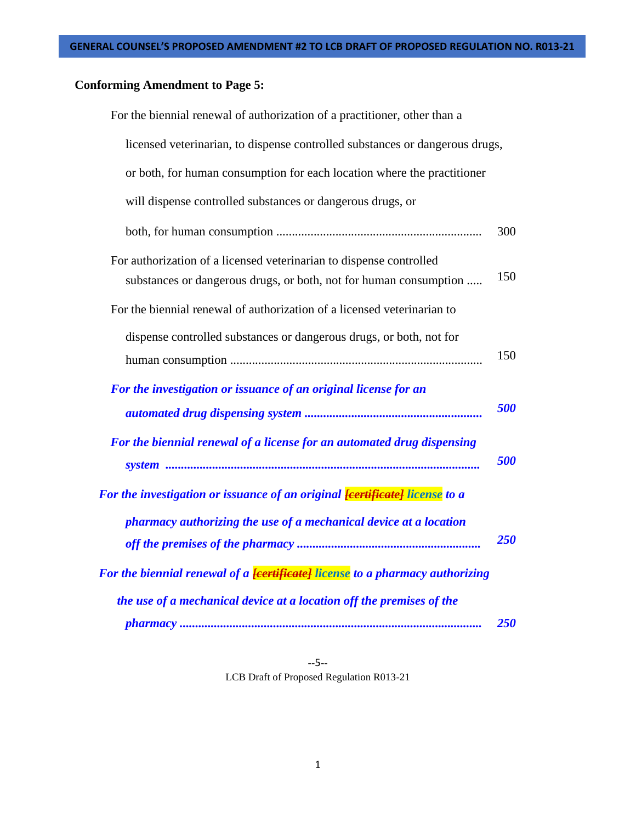# **Conforming Amendment to Page 5:**

| For the biennial renewal of authorization of a practitioner, other than a                                                                |     |
|------------------------------------------------------------------------------------------------------------------------------------------|-----|
| licensed veterinarian, to dispense controlled substances or dangerous drugs,                                                             |     |
| or both, for human consumption for each location where the practitioner                                                                  |     |
| will dispense controlled substances or dangerous drugs, or                                                                               |     |
|                                                                                                                                          | 300 |
| For authorization of a licensed veterinarian to dispense controlled<br>substances or dangerous drugs, or both, not for human consumption | 150 |
| For the biennial renewal of authorization of a licensed veterinarian to                                                                  |     |
| dispense controlled substances or dangerous drugs, or both, not for                                                                      | 150 |
| For the investigation or issuance of an original license for an                                                                          | 500 |
| For the biennial renewal of a license for an automated drug dispensing                                                                   | 500 |
| For the investigation or issuance of an original <mark><del>[certificate]</del> license</mark> to a                                      |     |
| pharmacy authorizing the use of a mechanical device at a location                                                                        | 250 |
| For the biennial renewal of a <mark><del>[certificate]</del> license</mark> to a pharmacy authorizing                                    |     |
| the use of a mechanical device at a location off the premises of the                                                                     | 250 |

--5-- LCB Draft of Proposed Regulation R013-21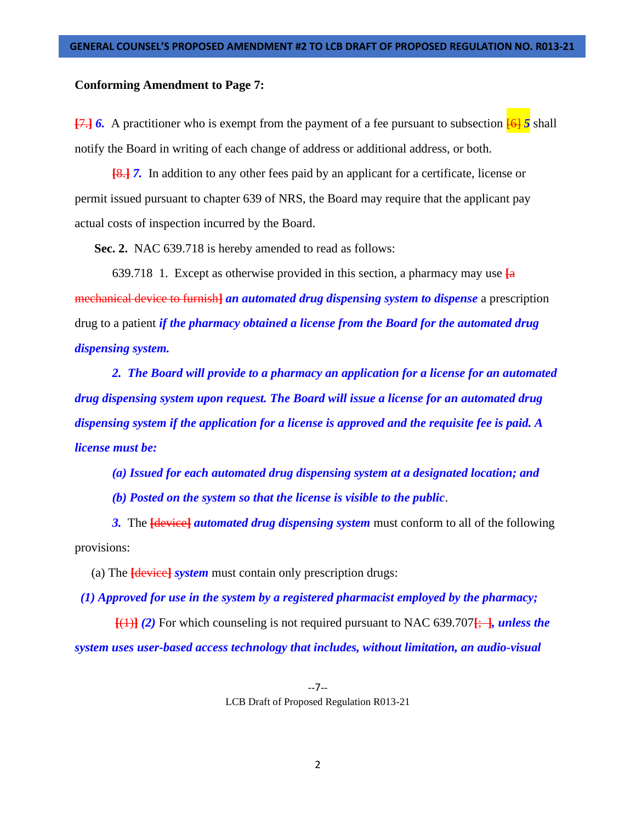## **Conforming Amendment to Page 7:**

**[**7.**]** *6.* A practitioner who is exempt from the payment of a fee pursuant to subsection [6] *5* shall notify the Board in writing of each change of address or additional address, or both.

**[**8.**]** *7.* In addition to any other fees paid by an applicant for a certificate, license or permit issued pursuant to chapter 639 of NRS, the Board may require that the applicant pay actual costs of inspection incurred by the Board.

**Sec. 2.** NAC 639.718 is hereby amended to read as follows:

639.718 1. Except as otherwise provided in this section, a pharmacy may use **[**a mechanical device to furnish**]** *an automated drug dispensing system to dispense* a prescription drug to a patient *if the pharmacy obtained a license from the Board for the automated drug dispensing system.* 

*2. The Board will provide to a pharmacy an application for a license for an automated drug dispensing system upon request. The Board will issue a license for an automated drug dispensing system if the application for a license is approved and the requisite fee is paid. A license must be:* 

*(a) Issued for each automated drug dispensing system at a designated location; and* 

*(b) Posted on the system so that the license is visible to the public*.

*3.* The **[**device**]** *automated drug dispensing system* must conform to all of the following provisions:

(a) The **[**device**]** *system* must contain only prescription drugs:

 *(1) Approved for use in the system by a registered pharmacist employed by the pharmacy;* 

**[**(1)**]** *(2)* For which counseling is not required pursuant to NAC 639.707**[**; **]***, unless the system uses user-based access technology that includes, without limitation, an audio-visual*

> --7-- LCB Draft of Proposed Regulation R013-21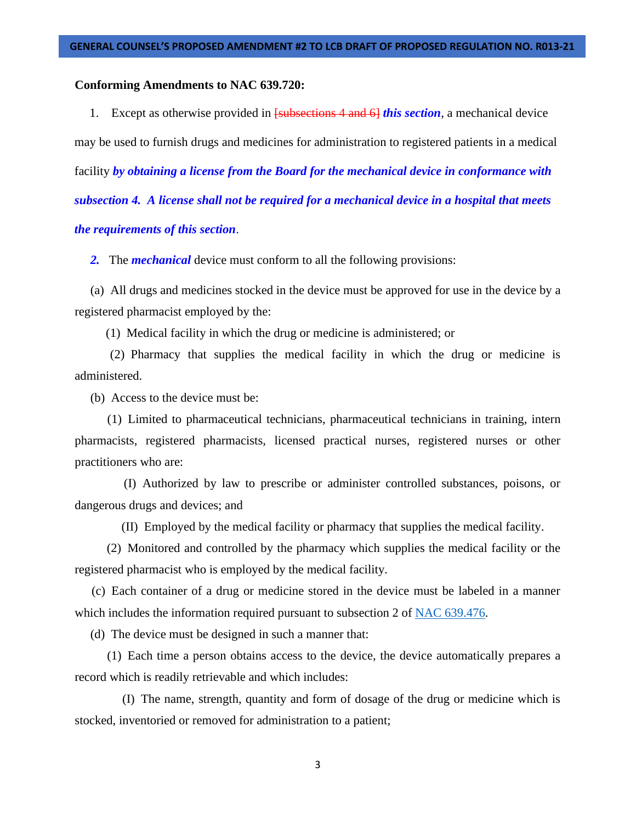## **Conforming Amendments to NAC 639.720:**

1. Except as otherwise provided in [subsections 4 and 6] *this section*, a mechanical device may be used to furnish drugs and medicines for administration to registered patients in a medical facility *by obtaining a license from the Board for the mechanical device in conformance with subsection 4. A license shall not be required for a mechanical device in a hospital that meets the requirements of this section*.

 *2.* The *mechanical* device must conform to all the following provisions:

(a) All drugs and medicines stocked in the device must be approved for use in the device by a registered pharmacist employed by the:

(1) Medical facility in which the drug or medicine is administered; or

(2) Pharmacy that supplies the medical facility in which the drug or medicine is administered.

(b) Access to the device must be:

(1) Limited to pharmaceutical technicians, pharmaceutical technicians in training, intern pharmacists, registered pharmacists, licensed practical nurses, registered nurses or other practitioners who are:

(I) Authorized by law to prescribe or administer controlled substances, poisons, or dangerous drugs and devices; and

(II) Employed by the medical facility or pharmacy that supplies the medical facility.

(2) Monitored and controlled by the pharmacy which supplies the medical facility or the registered pharmacist who is employed by the medical facility.

(c) Each container of a drug or medicine stored in the device must be labeled in a manner which includes the information required pursuant to subsection 2 of [NAC 639.476.](https://www.leg.state.nv.us/NAC/NAC-639.html#NAC639Sec476)

(d) The device must be designed in such a manner that:

(1) Each time a person obtains access to the device, the device automatically prepares a record which is readily retrievable and which includes:

(I) The name, strength, quantity and form of dosage of the drug or medicine which is stocked, inventoried or removed for administration to a patient;

3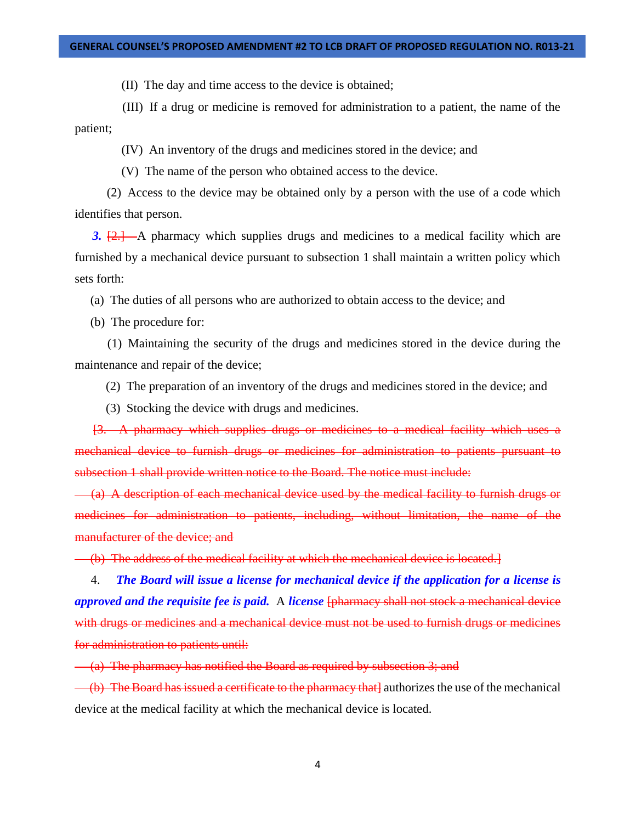#### **GENERAL COUNSEL'S PROPOSED AMENDMENT #2 TO LCB DRAFT OF PROPOSED REGULATION NO. R013-21**

(II) The day and time access to the device is obtained;

(III) If a drug or medicine is removed for administration to a patient, the name of the patient;

(IV) An inventory of the drugs and medicines stored in the device; and

(V) The name of the person who obtained access to the device.

(2) Access to the device may be obtained only by a person with the use of a code which identifies that person.

3.  $\{2, 1\}$  – A pharmacy which supplies drugs and medicines to a medical facility which are furnished by a mechanical device pursuant to subsection 1 shall maintain a written policy which sets forth:

(a) The duties of all persons who are authorized to obtain access to the device; and

(b) The procedure for:

(1) Maintaining the security of the drugs and medicines stored in the device during the maintenance and repair of the device;

(2) The preparation of an inventory of the drugs and medicines stored in the device; and

(3) Stocking the device with drugs and medicines.

[3. A pharmacy which supplies drugs or medicines to a medical facility which uses a mechanical device to furnish drugs or medicines for administration to patients pursuant to subsection 1 shall provide written notice to the Board. The notice must include:

(a) A description of each mechanical device used by the medical facility to furnish drugs or medicines for administration to patients, including, without limitation, the name of the manufacturer of the device; and

(b) The address of the medical facility at which the mechanical device is located.]

4. *The Board will issue a license for mechanical device if the application for a license is approved and the requisite fee is paid.* A *license* [pharmacy shall not stock a mechanical device with drugs or medicines and a mechanical device must not be used to furnish drugs or medicines for administration to patients until:

(a) The pharmacy has notified the Board as required by subsection 3; and

(b) The Board has issued a certificate to the pharmacy that authorizes the use of the mechanical device at the medical facility at which the mechanical device is located.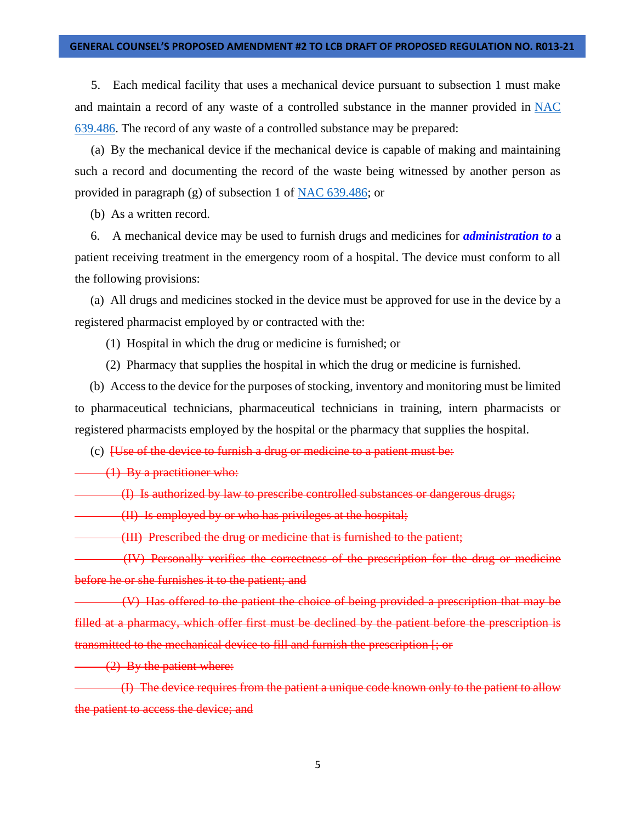#### **GENERAL COUNSEL'S PROPOSED AMENDMENT #2 TO LCB DRAFT OF PROPOSED REGULATION NO. R013-21**

5. Each medical facility that uses a mechanical device pursuant to subsection 1 must make and maintain a record of any waste of a controlled substance in the manner provided in [NAC](https://www.leg.state.nv.us/NAC/NAC-639.html#NAC639Sec486)  [639.486.](https://www.leg.state.nv.us/NAC/NAC-639.html#NAC639Sec486) The record of any waste of a controlled substance may be prepared:

(a) By the mechanical device if the mechanical device is capable of making and maintaining such a record and documenting the record of the waste being witnessed by another person as provided in paragraph (g) of subsection 1 of [NAC 639.486;](https://www.leg.state.nv.us/NAC/NAC-639.html#NAC639Sec486) or

(b) As a written record.

6. A mechanical device may be used to furnish drugs and medicines for *administration to* a patient receiving treatment in the emergency room of a hospital. The device must conform to all the following provisions:

(a) All drugs and medicines stocked in the device must be approved for use in the device by a registered pharmacist employed by or contracted with the:

(1) Hospital in which the drug or medicine is furnished; or

(2) Pharmacy that supplies the hospital in which the drug or medicine is furnished.

(b) Access to the device for the purposes of stocking, inventory and monitoring must be limited to pharmaceutical technicians, pharmaceutical technicians in training, intern pharmacists or registered pharmacists employed by the hospital or the pharmacy that supplies the hospital.

(c) [Use of the device to furnish a drug or medicine to a patient must be:

(1) By a practitioner who:

(I) Is authorized by law to prescribe controlled substances or dangerous drugs;

(II) Is employed by or who has privileges at the hospital;

(III) Prescribed the drug or medicine that is furnished to the patient;

(IV) Personally verifies the correctness of the prescription for the drug or medicine before he or she furnishes it to the patient; and

(V) Has offered to the patient the choice of being provided a prescription that may be filled at a pharmacy, which offer first must be declined by the patient before the prescription is transmitted to the mechanical device to fill and furnish the prescription [; or

(2) By the patient where:

(I) The device requires from the patient a unique code known only to the patient to allow the patient to access the device; and

5